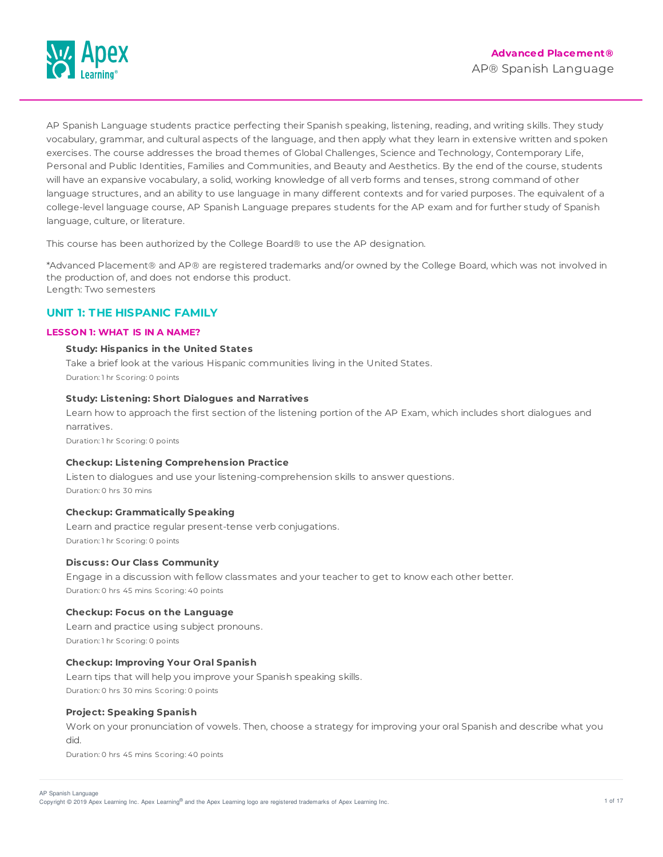

AP Spanish Language students practice perfecting their Spanish speaking, listening, reading, and writing skills. They study vocabulary, grammar, and cultural aspects of the language, and then apply what they learn in extensive written and spoken exercises. The course addresses the broad themes of Global Challenges, Science and Technology, Contemporary Life, Personal and Public Identities, Families and Communities, and Beauty and Aesthetics. By the end of the course, students will have an expansive vocabulary, a solid, working knowledge of all verb forms and tenses, strong command of other language structures, and an ability to use language in many different contexts and for varied purposes. The equivalent of a college-level language course, AP Spanish Language prepares students for the AP exam and for further study of Spanish language, culture, or literature.

This course has been authorized by the College Board® to use the AP designation.

\*Advanced Placement® and AP® are registered trademarks and/or owned by the College Board, which was not involved in the production of, and does not endorse this product. Length: Two semesters

# **UNIT 1: THE HISPANIC FAMILY**

## **LESSON 1: WHAT IS IN A NAME?**

## **Study: Hispanics in the United States**

Take a brief look at the various Hispanic communities living in the United States. Duration: 1 hr Scoring: 0 points

## **Study: Listening: Short Dialogues and Narratives**

Learn how to approach the first section of the listening portion of the AP Exam, which includes short dialogues and narratives.

Duration: 1 hr Scoring: 0 points

## **Checkup: Listening Comprehension Practice**

Listen to dialogues and use your listening-comprehension skills to answer questions. Duration: 0 hrs 30 mins

## **Checkup: Grammatically Speaking**

Learn and practice regular present-tense verb conjugations. Duration: 1 hr Scoring: 0 points

## **Discuss: Our Class Community**

Engage in a discussion with fellow classmates and your teacher to get to know each other better. Duration: 0 hrs 45 mins Scoring: 40 points

## **Checkup: Focus on the Language**

Learn and practice using subject pronouns. Duration: 1 hr Scoring: 0 points

### **Checkup: Improving Your Oral Spanish**

Learn tips that will help you improve your Spanish speaking skills. Duration: 0 hrs 30 mins Scoring: 0 points

## **Project: Speaking Spanish**

Work on your pronunciation of vowels. Then, choose a strategy for improving your oral Spanish and describe what you did.

Duration: 0 hrs 45 mins Scoring: 40 points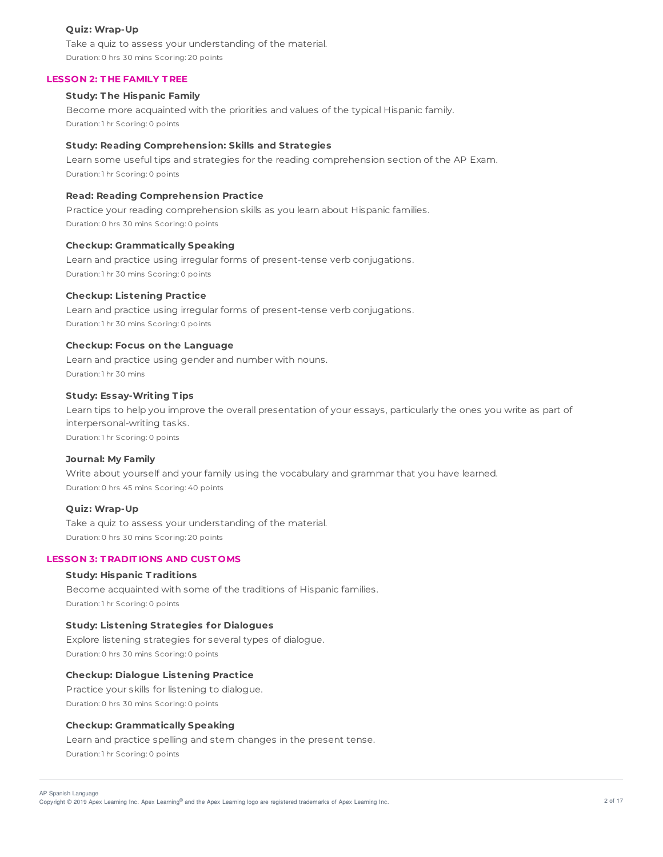## **Quiz: Wrap-Up**

Take a quiz to assess your understanding of the material. Duration: 0 hrs 30 mins Scoring: 20 points

### **LESSON 2: T HE FAMILY T REE**

## **Study: T he Hispanic Family**

Become more acquainted with the priorities and values of the typical Hispanic family. Duration: 1 hr Scoring: 0 points

### **Study: Reading Comprehension: Skills and Strategies**

Learn some useful tips and strategies for the reading comprehension section of the AP Exam. Duration: 1 hr Scoring: 0 points

# **Read: Reading Comprehension Practice**

Practice your reading comprehension skills as you learn about Hispanic families. Duration: 0 hrs 30 mins Scoring: 0 points

### **Checkup: Grammatically Speaking**

Learn and practice using irregular forms of present-tense verb conjugations. Duration: 1 hr 30 mins Scoring: 0 points

#### **Checkup: Listening Practice**

Learn and practice using irregular forms of present-tense verb conjugations. Duration: 1 hr 30 mins Scoring: 0 points

### **Checkup: Focus on the Language**

Learn and practice using gender and number with nouns. Duration: 1 hr 30 mins

## **Study: Essay-Writing T ips**

Learn tips to help you improve the overall presentation of your essays, particularly the ones you write as part of interpersonal-writing tasks.

Duration: 1 hr Scoring: 0 points

#### **Journal: My Family**

Write about yourself and your family using the vocabulary and grammar that you have learned. Duration: 0 hrs 45 mins Scoring: 40 points

## **Quiz: Wrap-Up**

Take a quiz to assess your understanding of the material. Duration: 0 hrs 30 mins Scoring: 20 points

## **LESSON 3: T RADIT IONS AND CUST OMS**

#### **Study: Hispanic T raditions**

Become acquainted with some of the traditions of Hispanic families. Duration: 1 hr Scoring: 0 points

## **Study: Listening Strategies for Dialogues**

Explore listening strategies for several types of dialogue. Duration: 0 hrs 30 mins Scoring: 0 points

## **Checkup: Dialogue Listening Practice**

Practice your skills for listening to dialogue. Duration: 0 hrs 30 mins Scoring: 0 points

## **Checkup: Grammatically Speaking**

Learn and practice spelling and stem changes in the present tense. Duration: 1 hr Scoring: 0 points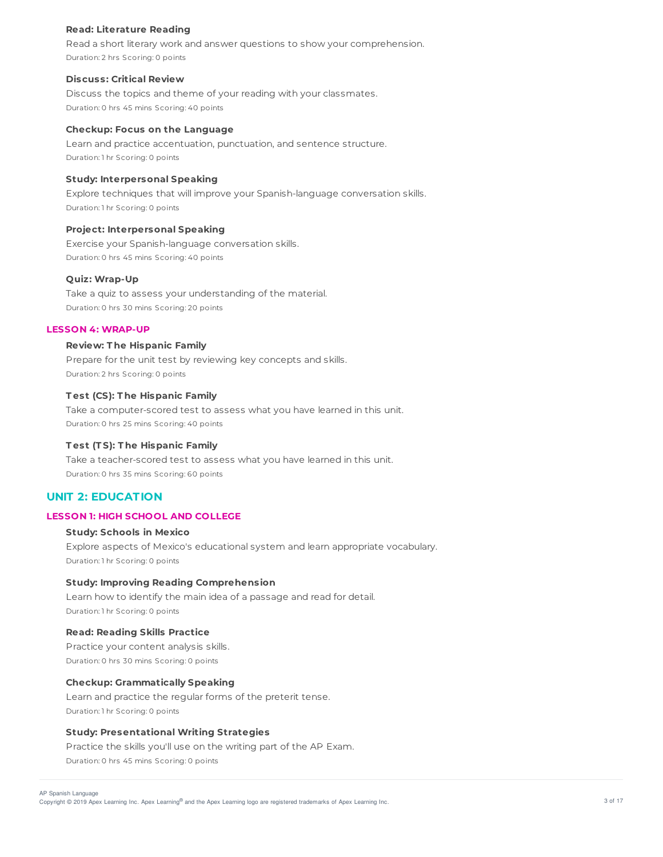### **Read: Literature Reading**

Read a short literary work and answer questions to show your comprehension. Duration: 2 hrs Scoring: 0 points

### **Discuss: Critical Review**

Discuss the topics and theme of your reading with your classmates. Duration: 0 hrs 45 mins Scoring: 40 points

#### **Checkup: Focus on the Language**

Learn and practice accentuation, punctuation, and sentence structure. Duration: 1 hr Scoring: 0 points

## **Study: Interpersonal Speaking**

Explore techniques that will improve your Spanish-language conversation skills. Duration: 1 hr Scoring: 0 points

## **Project: Interpersonal Speaking**

Exercise your Spanish-language conversation skills. Duration: 0 hrs 45 mins Scoring: 40 points

## **Quiz: Wrap-Up**

Take a quiz to assess your understanding of the material. Duration: 0 hrs 30 mins Scoring: 20 points

## **LESSON 4: WRAP-UP**

## **Review: T he Hispanic Family**

Prepare for the unit test by reviewing key concepts and skills. Duration: 2 hrs Scoring: 0 points

## **T est (CS): T he Hispanic Family**

Take a computer-scored test to assess what you have learned in this unit. Duration: 0 hrs 25 mins Scoring: 40 points

## **T est (T S): T he Hispanic Family**

Take a teacher-scored test to assess what you have learned in this unit. Duration: 0 hrs 35 mins Scoring: 60 points

## **UNIT 2: EDUCATION**

## **LESSON 1: HIGH SCHOOL AND COLLEGE**

## **Study: Schools in Mexico**

Explore aspects of Mexico's educational system and learn appropriate vocabulary. Duration: 1 hr Scoring: 0 points

### **Study: Improving Reading Comprehension**

Learn how to identify the main idea of a passage and read for detail. Duration: 1 hr Scoring: 0 points

#### **Read: Reading Skills Practice**

Practice your content analysis skills. Duration: 0 hrs 30 mins Scoring: 0 points

#### **Checkup: Grammatically Speaking**

Learn and practice the regular forms of the preterit tense. Duration: 1 hr Scoring: 0 points

# **Study: Presentational Writing Strategies**

Practice the skills you'll use on the writing part of the AP Exam. Duration: 0 hrs 45 mins Scoring: 0 points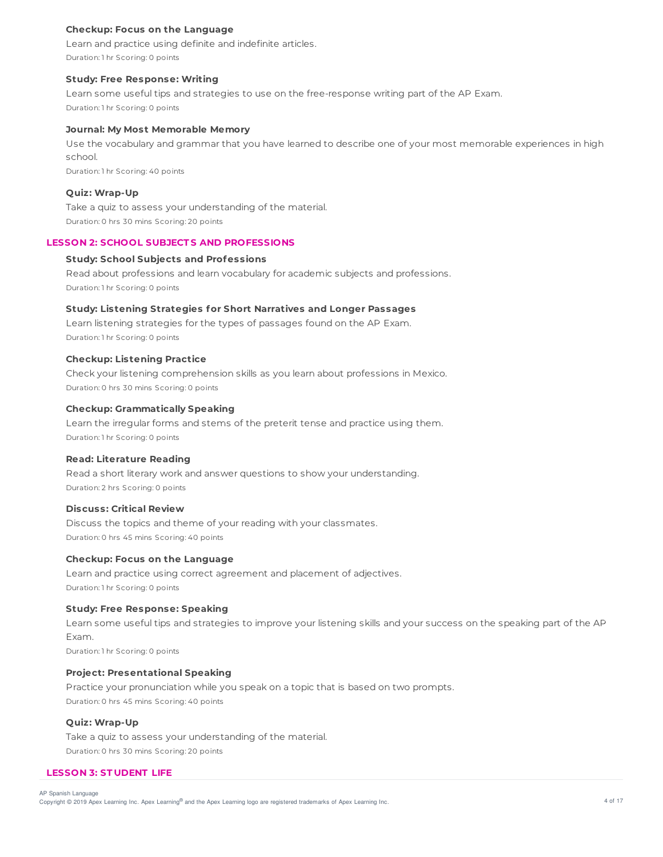## **Checkup: Focus on the Language**

Learn and practice using definite and indefinite articles. Duration: 1 hr Scoring: 0 points

#### **Study: Free Response: Writing**

Learn some useful tips and strategies to use on the free-response writing part of the AP Exam. Duration: 1 hr Scoring: 0 points

## **Journal: My Most Memorable Memory**

Use the vocabulary and grammar that you have learned to describe one of your most memorable experiences in high school.

Duration: 1 hr Scoring: 40 points

#### **Quiz: Wrap-Up**

Take a quiz to assess your understanding of the material. Duration: 0 hrs 30 mins Scoring: 20 points

#### **LESSON 2: SCHOOL SUBJECT S AND PROFESSIONS**

### **Study: School Subjects and Professions**

Read about professions and learn vocabulary for academic subjects and professions. Duration: 1 hr Scoring: 0 points

### **Study: Listening Strategies for Short Narratives and Longer Passages**

Learn listening strategies for the types of passages found on the AP Exam. Duration: 1 hr Scoring: 0 points

#### **Checkup: Listening Practice**

Check your listening comprehension skills as you learn about professions in Mexico. Duration: 0 hrs 30 mins Scoring: 0 points

## **Checkup: Grammatically Speaking**

Learn the irregular forms and stems of the preterit tense and practice using them. Duration: 1 hr Scoring: 0 points

#### **Read: Literature Reading**

Read a short literary work and answer questions to show your understanding. Duration: 2 hrs Scoring: 0 points

#### **Discuss: Critical Review**

Discuss the topics and theme of your reading with your classmates. Duration: 0 hrs 45 mins Scoring: 40 points

#### **Checkup: Focus on the Language**

Learn and practice using correct agreement and placement of adjectives. Duration: 1 hr Scoring: 0 points

#### **Study: Free Response: Speaking**

Learn some useful tips and strategies to improve your listening skills and your success on the speaking part of the AP Exam.

Duration: 1 hr Scoring: 0 points

## **Project: Presentational Speaking**

Practice your pronunciation while you speak on a topic that is based on two prompts. Duration: 0 hrs 45 mins Scoring: 40 points

#### **Quiz: Wrap-Up**

Take a quiz to assess your understanding of the material. Duration: 0 hrs 30 mins Scoring: 20 points

### **LESSON 3: ST UDENT LIFE**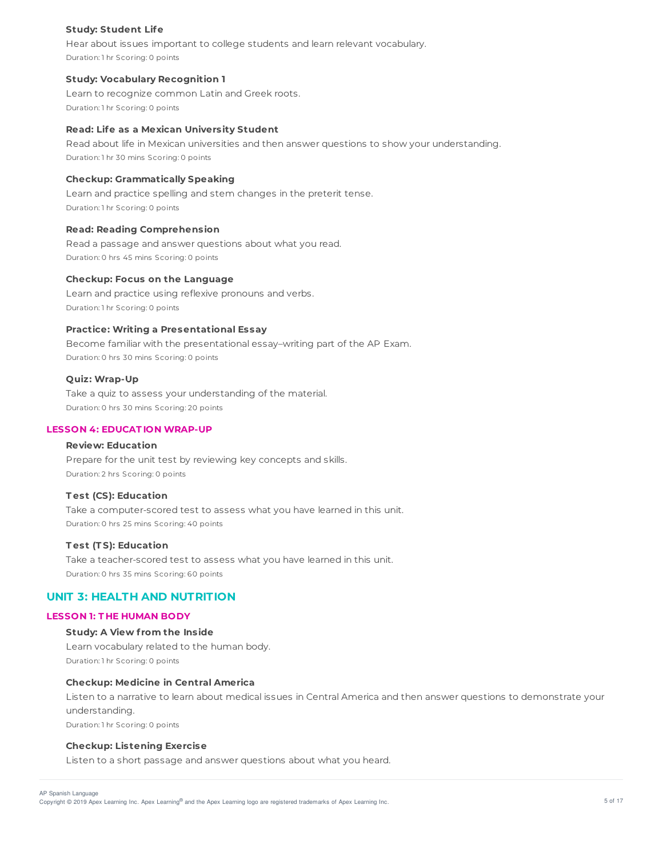## **Study: Student Life**

Hear about issues important to college students and learn relevant vocabulary. Duration: 1 hr Scoring: 0 points

## **Study: Vocabulary Recognition 1**

Learn to recognize common Latin and Greek roots. Duration: 1 hr Scoring: 0 points

### **Read: Life as a Mexican University Student**

Read about life in Mexican universities and then answer questions to show your understanding. Duration: 1 hr 30 mins Scoring: 0 points

## **Checkup: Grammatically Speaking**

Learn and practice spelling and stem changes in the preterit tense. Duration: 1 hr Scoring: 0 points

### **Read: Reading Comprehension**

Read a passage and answer questions about what you read. Duration: 0 hrs 45 mins Scoring: 0 points

#### **Checkup: Focus on the Language**

Learn and practice using reflexive pronouns and verbs. Duration: 1 hr Scoring: 0 points

## **Practice: Writing a Presentational Essay**

Become familiar with the presentational essay–writing part of the AP Exam. Duration: 0 hrs 30 mins Scoring: 0 points

### **Quiz: Wrap-Up**

Take a quiz to assess your understanding of the material. Duration: 0 hrs 30 mins Scoring: 20 points

# **LESSON 4: EDUCAT ION WRAP-UP**

## **Review: Education**

Prepare for the unit test by reviewing key concepts and skills. Duration: 2 hrs Scoring: 0 points

## **T est (CS): Education**

Take a computer-scored test to assess what you have learned in this unit. Duration: 0 hrs 25 mins Scoring: 40 points

#### **T est (T S): Education**

Take a teacher-scored test to assess what you have learned in this unit. Duration: 0 hrs 35 mins Scoring: 60 points

# **UNIT 3: HEALTH AND NUTRITION**

## **LESSON 1: T HE HUMAN BODY**

## **Study: A View f rom the Inside**

Learn vocabulary related to the human body. Duration: 1 hr Scoring: 0 points

#### **Checkup: Medicine in Central America**

Listen to a narrative to learn about medical issues in Central America and then answer questions to demonstrate your understanding.

Duration: 1 hr Scoring: 0 points

## **Checkup: Listening Exercise**

Listen to a short passage and answer questions about what you heard.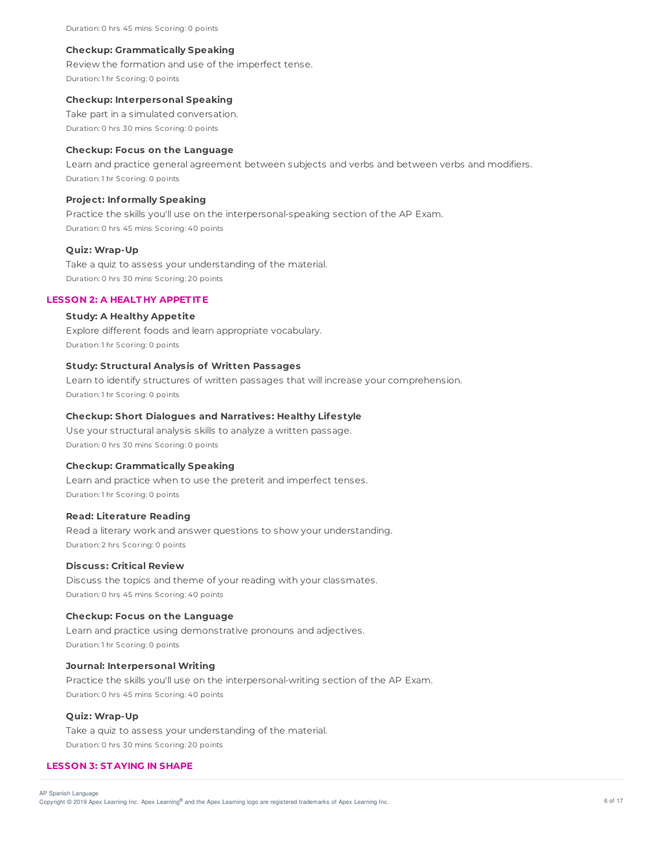Duration: 0 hrs 45 mins Scoring: 0 points

#### **Checkup: Grammatically Speaking**

Review the formation and use of the imperfect tense. Duration: 1 hr Scoring: 0 points

### **Checkup: Interpersonal Speaking**

Take part in a simulated conversation. Duration: 0 hrs 30 mins Scoring: 0 points

### **Checkup: Focus on the Language**

Learn and practice general agreement between subjects and verbs and between verbs and modifiers. Duration: 1 hr Scoring: 0 points

#### **Project: Informally Speaking**

Practice the skills you'll use on the interpersonal-speaking section of the AP Exam. Duration: 0 hrs 45 mins Scoring: 40 points

## **Quiz: Wrap-Up**

Take a quiz to assess your understanding of the material. Duration: 0 hrs 30 mins Scoring: 20 points

## **LESSON 2: A HEALT HY APPET IT E**

## **Study: A Healthy Appetite**

Explore different foods and learn appropriate vocabulary. Duration: 1 hr Scoring: 0 points

## **Study: Structural Analysis of Written Passages**

Learn to identify structures of written passages that will increase your comprehension. Duration: 1 hr Scoring: 0 points

### **Checkup: Short Dialogues and Narratives: Healthy Lifestyle**

Use your structural analysis skills to analyze a written passage. Duration: 0 hrs 30 mins Scoring: 0 points

### **Checkup: Grammatically Speaking**

Learn and practice when to use the preterit and imperfect tenses. Duration: 1 hr Scoring: 0 points

## **Read: Literature Reading**

Read a literary work and answer questions to show your understanding. Duration: 2 hrs Scoring: 0 points

## **Discuss: Critical Review**

Discuss the topics and theme of your reading with your classmates. Duration: 0 hrs 45 mins Scoring: 40 points

#### **Checkup: Focus on the Language**

Learn and practice using demonstrative pronouns and adjectives. Duration: 1 hr Scoring: 0 points

## **Journal: Interpersonal Writing**

Practice the skills you'll use on the interpersonal-writing section of the AP Exam. Duration: 0 hrs 45 mins Scoring: 40 points

### **Quiz: Wrap-Up**

Take a quiz to assess your understanding of the material. Duration: 0 hrs 30 mins Scoring: 20 points

## **LESSON 3: ST AYING IN SHAPE**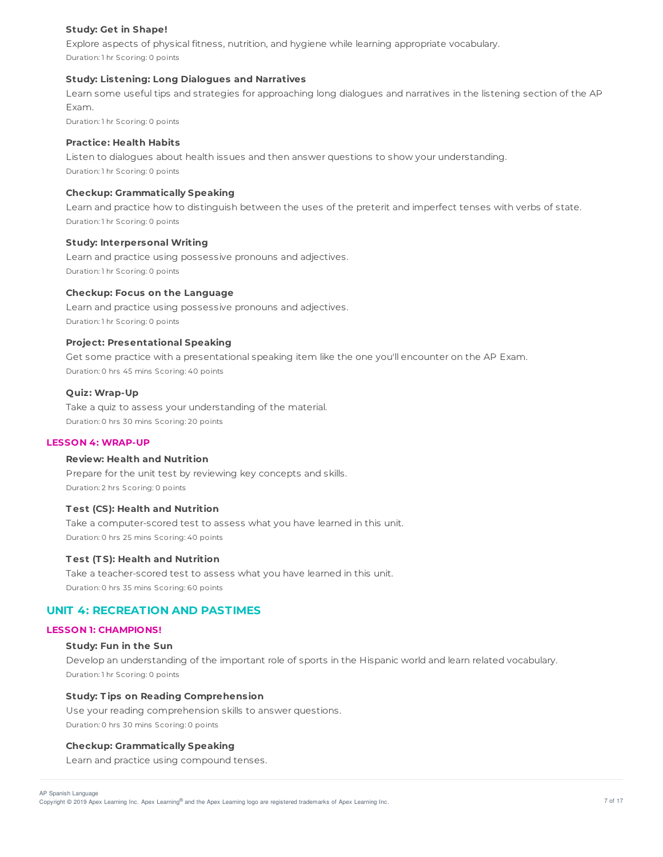## **Study: Get in Shape!**

Explore aspects of physical fitness, nutrition, and hygiene while learning appropriate vocabulary. Duration: 1 hr Scoring: 0 points

### **Study: Listening: Long Dialogues and Narratives**

Learn some useful tips and strategies for approaching long dialogues and narratives in the listening section of the AP Exam.

Duration: 1 hr Scoring: 0 points

## **Practice: Health Habits**

Listen to dialogues about health issues and then answer questions to show your understanding. Duration: 1 hr Scoring: 0 points

### **Checkup: Grammatically Speaking**

Learn and practice how to distinguish between the uses of the preterit and imperfect tenses with verbs of state. Duration: 1 hr Scoring: 0 points

### **Study: Interpersonal Writing**

Learn and practice using possessive pronouns and adjectives. Duration: 1 hr Scoring: 0 points

### **Checkup: Focus on the Language**

Learn and practice using possessive pronouns and adjectives. Duration: 1 hr Scoring: 0 points

## **Project: Presentational Speaking**

Get some practice with a presentational speaking item like the one you'll encounter on the AP Exam. Duration: 0 hrs 45 mins Scoring: 40 points

## **Quiz: Wrap-Up**

Take a quiz to assess your understanding of the material. Duration: 0 hrs 30 mins Scoring: 20 points

#### **LESSON 4: WRAP-UP**

### **Review: Health and Nutrition**

Prepare for the unit test by reviewing key concepts and skills. Duration: 2 hrs Scoring: 0 points

## **T est (CS): Health and Nutrition**

Take a computer-scored test to assess what you have learned in this unit. Duration: 0 hrs 25 mins Scoring: 40 points

## **T est (T S): Health and Nutrition**

Take a teacher-scored test to assess what you have learned in this unit. Duration: 0 hrs 35 mins Scoring: 60 points

# **UNIT 4: RECREATION AND PASTIMES**

#### **LESSON 1: CHAMPIONS!**

#### **Study: Fun in the Sun**

Develop an understanding of the important role of sports in the Hispanic world and learn related vocabulary. Duration: 1 hr Scoring: 0 points

## **Study: T ips on Reading Comprehension**

Use your reading comprehension skills to answer questions. Duration: 0 hrs 30 mins Scoring: 0 points

#### **Checkup: Grammatically Speaking**

Learn and practice using compound tenses.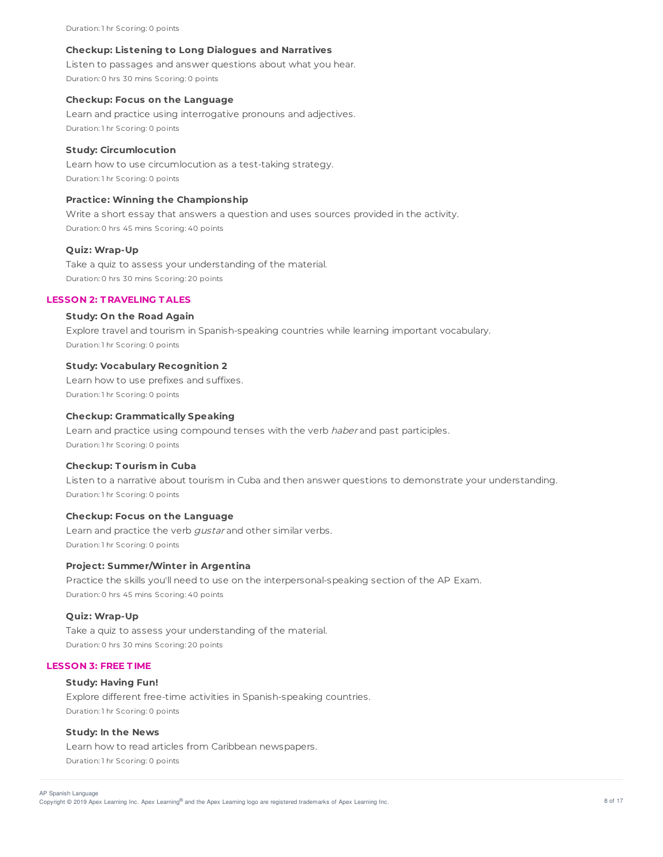Duration: 1 hr Scoring: 0 points

#### **Checkup: Listening to Long Dialogues and Narratives**

Listen to passages and answer questions about what you hear. Duration: 0 hrs 30 mins Scoring: 0 points

## **Checkup: Focus on the Language**

Learn and practice using interrogative pronouns and adjectives. Duration: 1 hr Scoring: 0 points

## **Study: Circumlocution**

Learn how to use circumlocution as a test-taking strategy. Duration: 1 hr Scoring: 0 points

### **Practice: Winning the Championship**

Write a short essay that answers a question and uses sources provided in the activity. Duration: 0 hrs 45 mins Scoring: 40 points

## **Quiz: Wrap-Up**

Take a quiz to assess your understanding of the material. Duration: 0 hrs 30 mins Scoring: 20 points

#### **LESSON 2: T RAVELING T ALES**

### **Study: On the Road Again**

Explore travel and tourism in Spanish-speaking countries while learning important vocabulary. Duration: 1 hr Scoring: 0 points

## **Study: Vocabulary Recognition 2**

Learn how to use prefixes and suffixes. Duration: 1 hr Scoring: 0 points

### **Checkup: Grammatically Speaking**

Learn and practice using compound tenses with the verb haber and past participles. Duration: 1 hr Scoring: 0 points

## **Checkup: T ourism in Cuba**

Listen to a narrative about tourism in Cuba and then answer questions to demonstrate your understanding. Duration: 1 hr Scoring: 0 points

## **Checkup: Focus on the Language**

Learn and practice the verb gustar and other similar verbs. Duration: 1 hr Scoring: 0 points

### **Project: Summer/Winter in Argentina**

Practice the skills you'll need to use on the interpersonal-speaking section of the AP Exam. Duration: 0 hrs 45 mins Scoring: 40 points

#### **Quiz: Wrap-Up**

Take a quiz to assess your understanding of the material. Duration: 0 hrs 30 mins Scoring: 20 points

## **LESSON 3: FREE T IME**

#### **Study: Having Fun!**

Explore different free-time activities in Spanish-speaking countries. Duration: 1 hr Scoring: 0 points

#### **Study: In the News**

Learn how to read articles from Caribbean newspapers. Duration: 1 hr Scoring: 0 points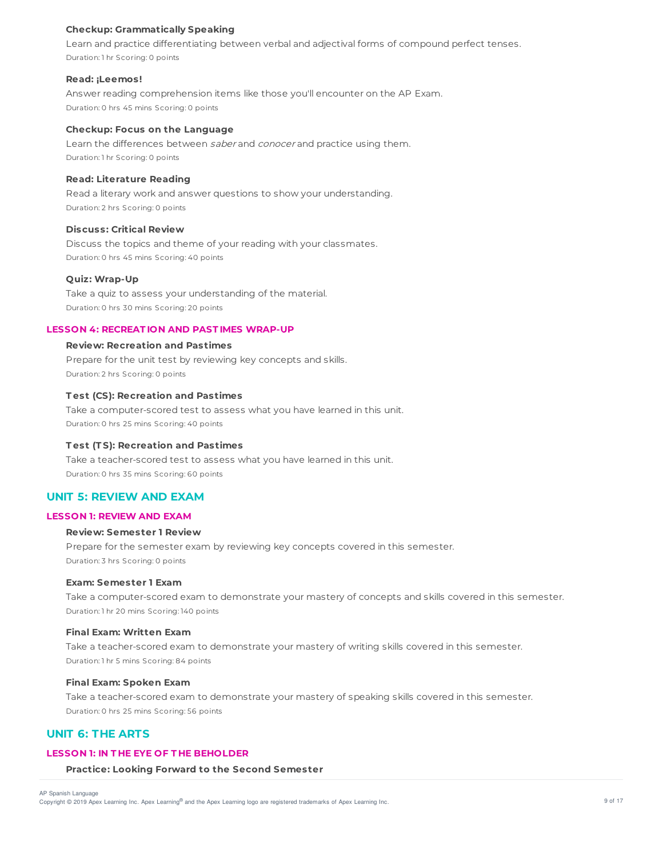## **Checkup: Grammatically Speaking**

Learn and practice differentiating between verbal and adjectival forms of compound perfect tenses. Duration: 1 hr Scoring: 0 points

#### **Read: ¡Leemos!**

Answer reading comprehension items like those you'll encounter on the AP Exam. Duration: 0 hrs 45 mins Scoring: 0 points

## **Checkup: Focus on the Language**

Learn the differences between saber and conocer and practice using them. Duration: 1 hr Scoring: 0 points

### **Read: Literature Reading**

Read a literary work and answer questions to show your understanding. Duration: 2 hrs Scoring: 0 points

### **Discuss: Critical Review**

Discuss the topics and theme of your reading with your classmates. Duration: 0 hrs 45 mins Scoring: 40 points

## **Quiz: Wrap-Up**

Take a quiz to assess your understanding of the material. Duration: 0 hrs 30 mins Scoring: 20 points

## **LESSON 4: RECREAT ION AND PAST IMES WRAP-UP**

### **Review: Recreation and Pastimes**

Prepare for the unit test by reviewing key concepts and skills. Duration: 2 hrs Scoring: 0 points

## **T est (CS): Recreation and Pastimes**

Take a computer-scored test to assess what you have learned in this unit. Duration: 0 hrs 25 mins Scoring: 40 points

## **T est (T S): Recreation and Pastimes**

Take a teacher-scored test to assess what you have learned in this unit. Duration: 0 hrs 35 mins Scoring: 60 points

# **UNIT 5: REVIEW AND EXAM**

### **LESSON 1: REVIEW AND EXAM**

#### **Review: Semester 1 Review**

Prepare for the semester exam by reviewing key concepts covered in this semester. Duration: 3 hrs Scoring: 0 points

### **Exam: Semester 1 Exam**

Take a computer-scored exam to demonstrate your mastery of concepts and skills covered in this semester. Duration: 1 hr 20 mins Scoring: 140 points

## **Final Exam: Written Exam**

Take a teacher-scored exam to demonstrate your mastery of writing skills covered in this semester. Duration: 1 hr 5 mins Scoring: 84 points

#### **Final Exam: Spoken Exam**

Take a teacher-scored exam to demonstrate your mastery of speaking skills covered in this semester. Duration: 0 hrs 25 mins Scoring: 56 points

# **UNIT 6: THE ARTS**

# **LESSON 1: IN T HE EYE OF T HE BEHOLDER**

## **Practice: Looking Forward to the Second Semester**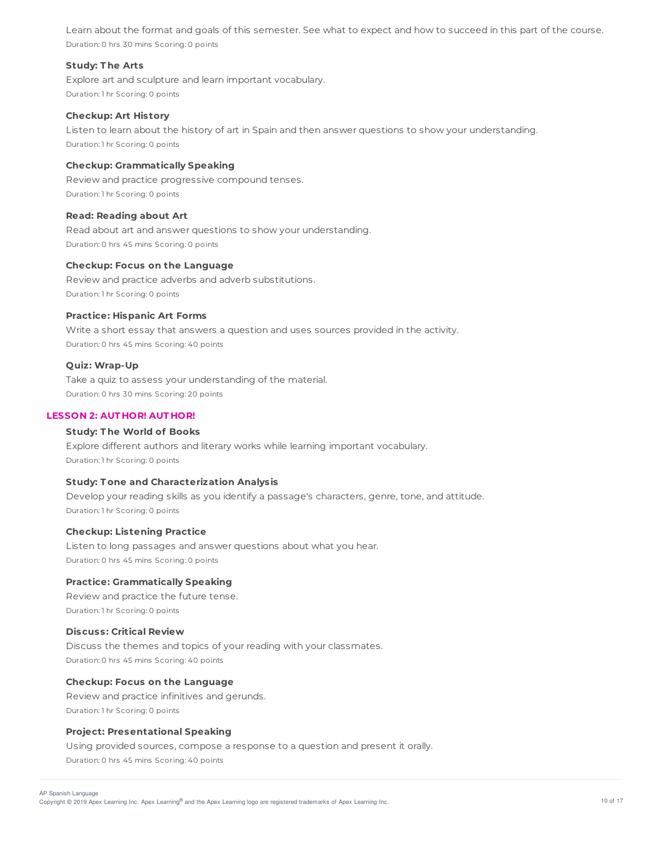Learn about the format and goals of this semester. See what to expect and how to succeed in this part of the course. Duration: 0 hrs 30 mins Scoring: 0 points

## **Study: T he Arts**

Explore art and sculpture and learn important vocabulary. Duration: 1 hr Scoring: 0 points

#### **Checkup: Art History**

Listen to learn about the history of art in Spain and then answer questions to show your understanding. Duration: 1 hr Scoring: 0 points

### **Checkup: Grammatically Speaking**

Review and practice progressive compound tenses. Duration: 1 hr Scoring: 0 points

## **Read: Reading about Art**

Read about art and answer questions to show your understanding. Duration: 0 hrs 45 mins Scoring: 0 points

#### **Checkup: Focus on the Language**

Review and practice adverbs and adverb substitutions. Duration: 1 hr Scoring: 0 points

#### **Practice: Hispanic Art Forms**

Write a short essay that answers a question and uses sources provided in the activity. Duration: 0 hrs 45 mins Scoring: 40 points

#### **Quiz: Wrap-Up**

Take a quiz to assess your understanding of the material. Duration: 0 hrs 30 mins Scoring: 20 points

### **LESSON 2: AUT HOR! AUT HOR!**

# **Study: T he World of Books**

Explore different authors and literary works while learning important vocabulary. Duration: 1 hr Scoring: 0 points

## **Study: T one and Characterization Analysis**

Develop your reading skills as you identify a passage's characters, genre, tone, and attitude. Duration: 1 hr Scoring: 0 points

### **Checkup: Listening Practice**

Listen to long passages and answer questions about what you hear. Duration: 0 hrs 45 mins Scoring: 0 points

## **Practice: Grammatically Speaking**

Review and practice the future tense. Duration: 1 hr Scoring: 0 points

## **Discuss: Critical Review**

Discuss the themes and topics of your reading with your classmates. Duration: 0 hrs 45 mins Scoring: 40 points

### **Checkup: Focus on the Language**

Review and practice infinitives and gerunds. Duration: 1 hr Scoring: 0 points

## **Project: Presentational Speaking**

Using provided sources, compose a response to a question and present it orally. Duration: 0 hrs 45 mins Scoring: 40 points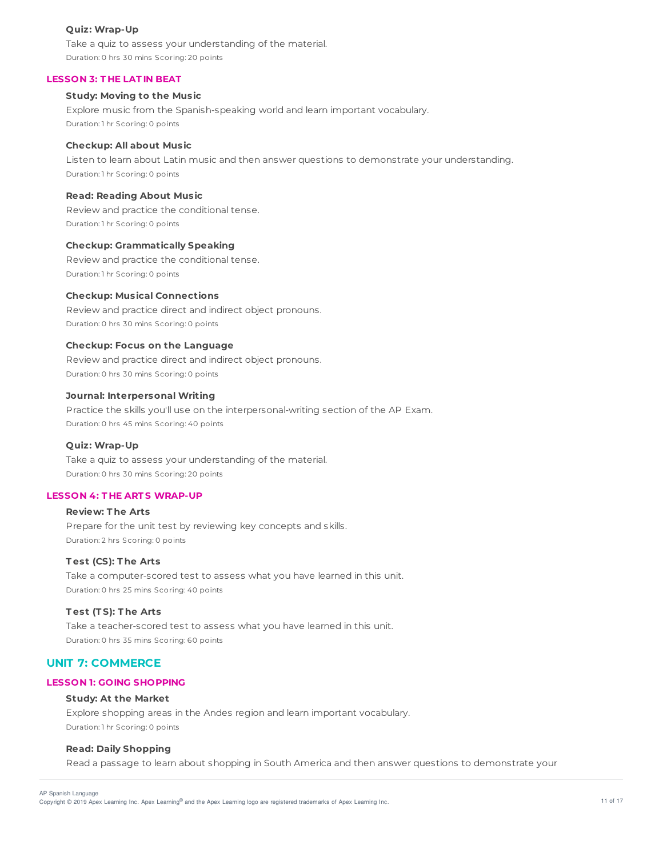## **Quiz: Wrap-Up**

Take a quiz to assess your understanding of the material. Duration: 0 hrs 30 mins Scoring: 20 points

## **LESSON 3: T HE LAT IN BEAT**

## **Study: Moving to the Music**

Explore music from the Spanish-speaking world and learn important vocabulary. Duration: 1 hr Scoring: 0 points

### **Checkup: All about Music**

Listen to learn about Latin music and then answer questions to demonstrate your understanding. Duration: 1 hr Scoring: 0 points

## **Read: Reading About Music**

Review and practice the conditional tense. Duration: 1 hr Scoring: 0 points

### **Checkup: Grammatically Speaking**

Review and practice the conditional tense. Duration: 1 hr Scoring: 0 points

## **Checkup: Musical Connections**

Review and practice direct and indirect object pronouns. Duration: 0 hrs 30 mins Scoring: 0 points

### **Checkup: Focus on the Language**

Review and practice direct and indirect object pronouns. Duration: 0 hrs 30 mins Scoring: 0 points

## **Journal: Interpersonal Writing**

Practice the skills you'll use on the interpersonal-writing section of the AP Exam. Duration: 0 hrs 45 mins Scoring: 40 points

## **Quiz: Wrap-Up**

Take a quiz to assess your understanding of the material. Duration: 0 hrs 30 mins Scoring: 20 points

## **LESSON 4: T HE ART S WRAP-UP**

# **Review: T he Arts** Prepare for the unit test by reviewing key concepts and skills. Duration: 2 hrs Scoring: 0 points

## **T est (CS): T he Arts**

Take a computer-scored test to assess what you have learned in this unit. Duration: 0 hrs 25 mins Scoring: 40 points

## **T est (T S): T he Arts**

Take a teacher-scored test to assess what you have learned in this unit. Duration: 0 hrs 35 mins Scoring: 60 points

## **UNIT 7: COMMERCE**

### **LESSON 1: GOING SHOPPING**

## **Study: At the Market**

Explore shopping areas in the Andes region and learn important vocabulary. Duration: 1 hr Scoring: 0 points

## **Read: Daily Shopping**

Read a passage to learn about shopping in South America and then answer questions to demonstrate your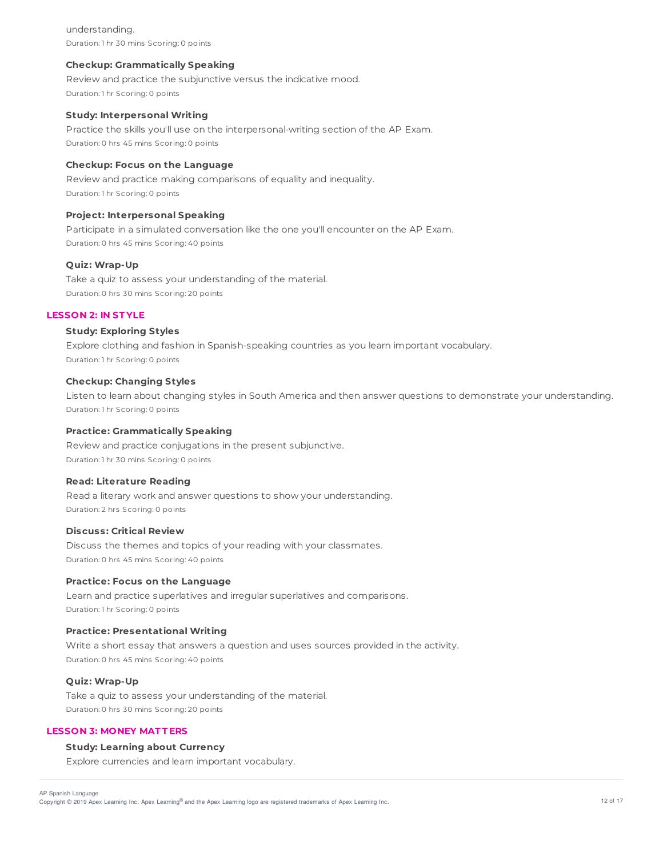understanding. Duration: 1 hr 30 mins Scoring: 0 points

## **Checkup: Grammatically Speaking**

Review and practice the subjunctive versus the indicative mood. Duration: 1 hr Scoring: 0 points

## **Study: Interpersonal Writing**

Practice the skills you'll use on the interpersonal-writing section of the AP Exam. Duration: 0 hrs 45 mins Scoring: 0 points

### **Checkup: Focus on the Language**

Review and practice making comparisons of equality and inequality. Duration: 1 hr Scoring: 0 points

## **Project: Interpersonal Speaking**

Participate in a simulated conversation like the one you'll encounter on the AP Exam. Duration: 0 hrs 45 mins Scoring: 40 points

### **Quiz: Wrap-Up**

Take a quiz to assess your understanding of the material. Duration: 0 hrs 30 mins Scoring: 20 points

## **LESSON 2: IN ST YLE**

# **Study: Exploring Styles**

Explore clothing and fashion in Spanish-speaking countries as you learn important vocabulary. Duration: 1 hr Scoring: 0 points

## **Checkup: Changing Styles**

Listen to learn about changing styles in South America and then answer questions to demonstrate your understanding. Duration: 1 hr Scoring: 0 points

## **Practice: Grammatically Speaking**

Review and practice conjugations in the present subjunctive. Duration: 1 hr 30 mins Scoring: 0 points

## **Read: Literature Reading**

Read a literary work and answer questions to show your understanding. Duration: 2 hrs Scoring: 0 points

### **Discuss: Critical Review**

Discuss the themes and topics of your reading with your classmates. Duration: 0 hrs 45 mins Scoring: 40 points

## **Practice: Focus on the Language**

Learn and practice superlatives and irregular superlatives and comparisons. Duration: 1 hr Scoring: 0 points

### **Practice: Presentational Writing**

Write a short essay that answers a question and uses sources provided in the activity. Duration: 0 hrs 45 mins Scoring: 40 points

# **Quiz: Wrap-Up**

Take a quiz to assess your understanding of the material. Duration: 0 hrs 30 mins Scoring: 20 points

## **LESSON 3: MONEY MAT T ERS**

# **Study: Learning about Currency**

Explore currencies and learn important vocabulary.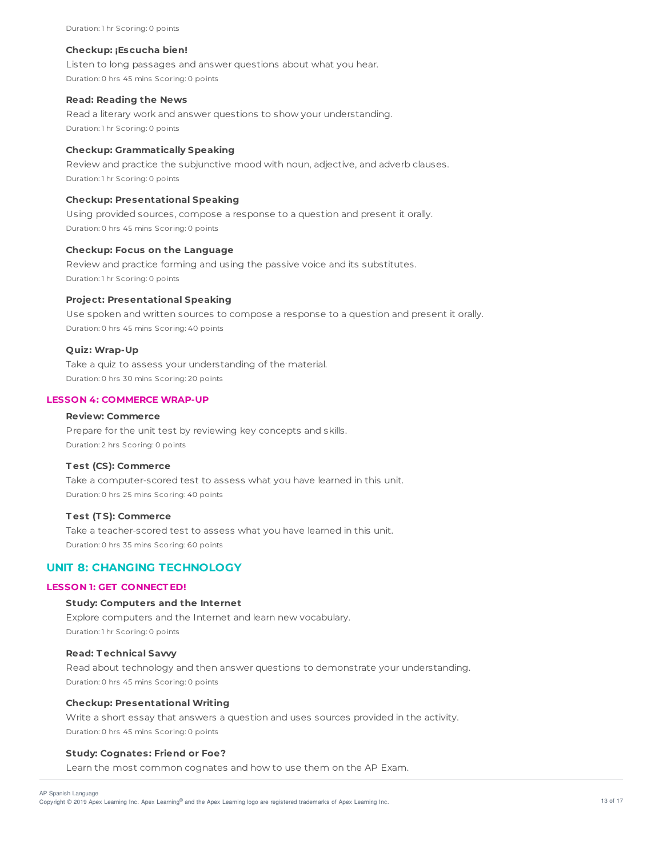#### **Checkup: ¡Escucha bien!**

Listen to long passages and answer questions about what you hear. Duration: 0 hrs 45 mins Scoring: 0 points

#### **Read: Reading the News**

Read a literary work and answer questions to show your understanding. Duration: 1 hr Scoring: 0 points

## **Checkup: Grammatically Speaking**

Review and practice the subjunctive mood with noun, adjective, and adverb clauses. Duration: 1 hr Scoring: 0 points

### **Checkup: Presentational Speaking**

Using provided sources, compose a response to a question and present it orally. Duration: 0 hrs 45 mins Scoring: 0 points

### **Checkup: Focus on the Language**

Review and practice forming and using the passive voice and its substitutes. Duration: 1 hr Scoring: 0 points

## **Project: Presentational Speaking**

Use spoken and written sources to compose a response to a question and present it orally. Duration: 0 hrs 45 mins Scoring: 40 points

### **Quiz: Wrap-Up**

Take a quiz to assess your understanding of the material. Duration: 0 hrs 30 mins Scoring: 20 points

## **LESSON 4: COMMERCE WRAP-UP**

## **Review: Commerce**

Prepare for the unit test by reviewing key concepts and skills. Duration: 2 hrs Scoring: 0 points

## **T est (CS): Commerce**

Take a computer-scored test to assess what you have learned in this unit. Duration: 0 hrs 25 mins Scoring: 40 points

## **T est (T S): Commerce**

Take a teacher-scored test to assess what you have learned in this unit. Duration: 0 hrs 35 mins Scoring: 60 points

# **UNIT 8: CHANGING TECHNOLOGY**

### **LESSON 1: GET CONNECT ED!**

#### **Study: Computers and the Internet**

Explore computers and the Internet and learn new vocabulary. Duration: 1 hr Scoring: 0 points

## **Read: T echnical Savvy**

Read about technology and then answer questions to demonstrate your understanding. Duration: 0 hrs 45 mins Scoring: 0 points

### **Checkup: Presentational Writing**

Write a short essay that answers a question and uses sources provided in the activity. Duration: 0 hrs 45 mins Scoring: 0 points

#### **Study: Cognates: Friend or Foe?**

Learn the most common cognates and how to use them on the AP Exam.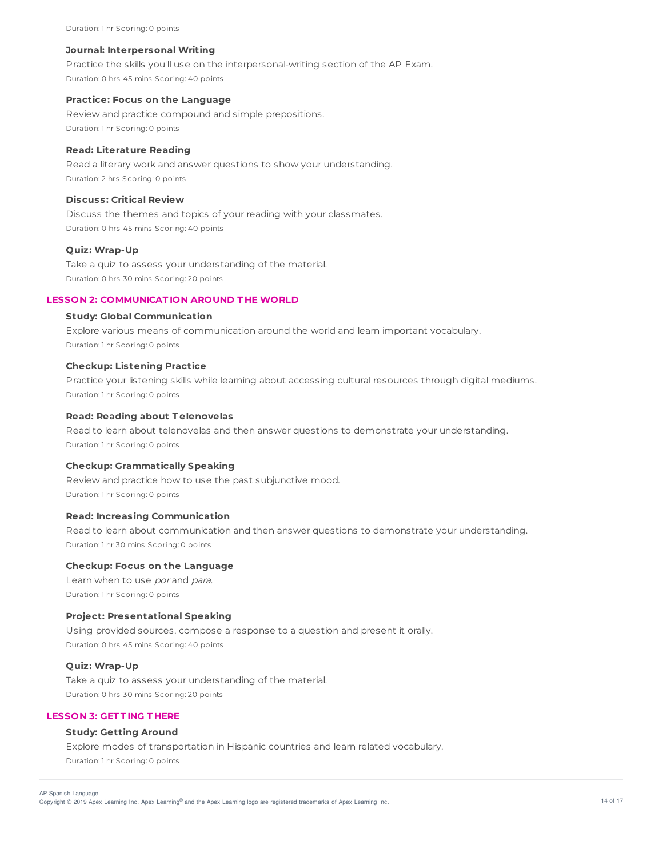Duration: 1 hr Scoring: 0 points

#### **Journal: Interpersonal Writing**

Practice the skills you'll use on the interpersonal-writing section of the AP Exam. Duration: 0 hrs 45 mins Scoring: 40 points

#### **Practice: Focus on the Language**

Review and practice compound and simple prepositions. Duration: 1 hr Scoring: 0 points

## **Read: Literature Reading**

Read a literary work and answer questions to show your understanding. Duration: 2 hrs Scoring: 0 points

## **Discuss: Critical Review**

Discuss the themes and topics of your reading with your classmates. Duration: 0 hrs 45 mins Scoring: 40 points

## **Quiz: Wrap-Up**

Take a quiz to assess your understanding of the material. Duration: 0 hrs 30 mins Scoring: 20 points

### **LESSON 2: COMMUNICAT ION AROUND T HE WORLD**

## **Study: Global Communication**

Explore various means of communication around the world and learn important vocabulary. Duration: 1 hr Scoring: 0 points

#### **Checkup: Listening Practice**

Practice your listening skills while learning about accessing cultural resources through digital mediums. Duration: 1 hr Scoring: 0 points

#### **Read: Reading about T elenovelas**

Read to learn about telenovelas and then answer questions to demonstrate your understanding. Duration: 1 hr Scoring: 0 points

### **Checkup: Grammatically Speaking**

Review and practice how to use the past subjunctive mood. Duration: 1 hr Scoring: 0 points

## **Read: Increasing Communication**

Read to learn about communication and then answer questions to demonstrate your understanding. Duration: 1 hr 30 mins Scoring: 0 points

## **Checkup: Focus on the Language**

Learn when to use por and para. Duration: 1 hr Scoring: 0 points

#### **Project: Presentational Speaking**

Using provided sources, compose a response to a question and present it orally. Duration: 0 hrs 45 mins Scoring: 40 points

## **Quiz: Wrap-Up**

Take a quiz to assess your understanding of the material. Duration: 0 hrs 30 mins Scoring: 20 points

## **LESSON 3: GET T ING T HERE**

# **Study: Getting Around**

Explore modes of transportation in Hispanic countries and learn related vocabulary. Duration: 1 hr Scoring: 0 points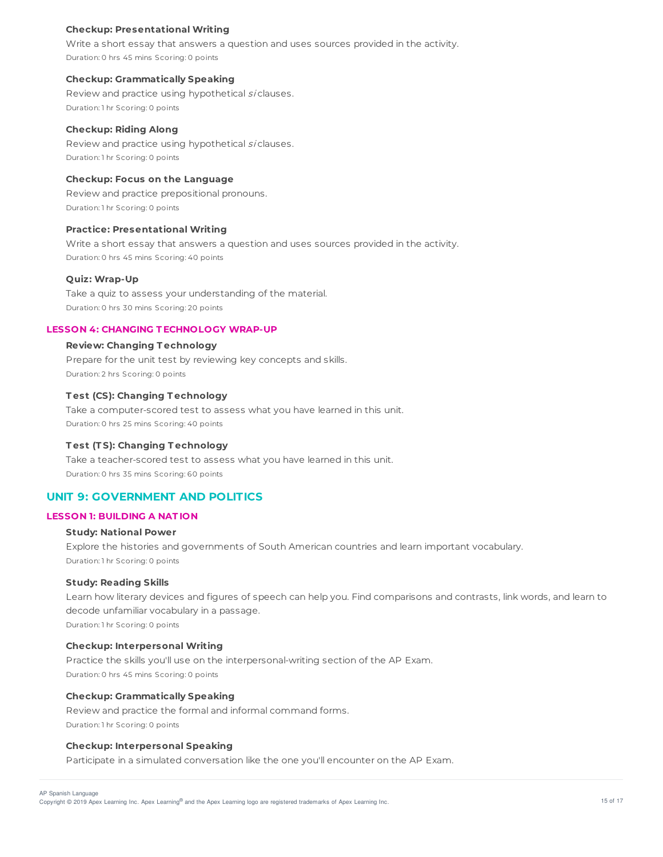## **Checkup: Presentational Writing**

Write a short essay that answers a question and uses sources provided in the activity. Duration: 0 hrs 45 mins Scoring: 0 points

### **Checkup: Grammatically Speaking**

Review and practice using hypothetical si clauses. Duration: 1 hr Scoring: 0 points

### **Checkup: Riding Along**

Review and practice using hypothetical si clauses. Duration: 1 hr Scoring: 0 points

### **Checkup: Focus on the Language**

Review and practice prepositional pronouns. Duration: 1 hr Scoring: 0 points

## **Practice: Presentational Writing**

Write a short essay that answers a question and uses sources provided in the activity. Duration: 0 hrs 45 mins Scoring: 40 points

### **Quiz: Wrap-Up**

Take a quiz to assess your understanding of the material. Duration: 0 hrs 30 mins Scoring: 20 points

## **LESSON 4: CHANGING T ECHNOLOGY WRAP-UP**

## **Review: Changing T echnology**

Prepare for the unit test by reviewing key concepts and skills. Duration: 2 hrs Scoring: 0 points

## **T est (CS): Changing T echnology**

Take a computer-scored test to assess what you have learned in this unit. Duration: 0 hrs 25 mins Scoring: 40 points

## **T est (T S): Changing T echnology**

Take a teacher-scored test to assess what you have learned in this unit. Duration: 0 hrs 35 mins Scoring: 60 points

## **UNIT 9: GOVERNMENT AND POLITICS**

## **LESSON 1: BUILDING A NAT ION**

### **Study: National Power**

Explore the histories and governments of South American countries and learn important vocabulary. Duration: 1 hr Scoring: 0 points

#### **Study: Reading Skills**

Learn how literary devices and figures of speech can help you. Find comparisons and contrasts, link words, and learn to decode unfamiliar vocabulary in a passage. Duration: 1 hr Scoring: 0 points

## **Checkup: Interpersonal Writing**

Practice the skills you'll use on the interpersonal-writing section of the AP Exam. Duration: 0 hrs 45 mins Scoring: 0 points

## **Checkup: Grammatically Speaking**

Review and practice the formal and informal command forms. Duration: 1 hr Scoring: 0 points

### **Checkup: Interpersonal Speaking**

Participate in a simulated conversation like the one you'll encounter on the AP Exam.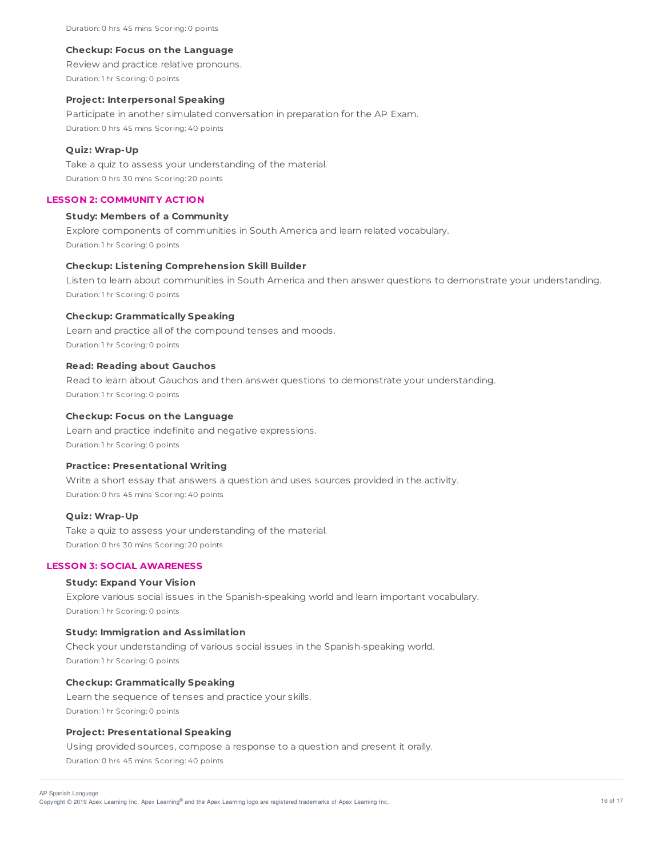Duration: 0 hrs 45 mins Scoring: 0 points

#### **Checkup: Focus on the Language**

Review and practice relative pronouns. Duration: 1 hr Scoring: 0 points

### **Project: Interpersonal Speaking**

Participate in another simulated conversation in preparation for the AP Exam. Duration: 0 hrs 45 mins Scoring: 40 points

## **Quiz: Wrap-Up**

Take a quiz to assess your understanding of the material. Duration: 0 hrs 30 mins Scoring: 20 points

## **LESSON 2: COMMUNIT Y ACT ION**

#### **Study: Members of a Community**

Explore components of communities in South America and learn related vocabulary. Duration: 1 hr Scoring: 0 points

## **Checkup: Listening Comprehension Skill Builder**

Listen to learn about communities in South America and then answer questions to demonstrate your understanding. Duration: 1 hr Scoring: 0 points

#### **Checkup: Grammatically Speaking**

Learn and practice all of the compound tenses and moods. Duration: 1 hr Scoring: 0 points

## **Read: Reading about Gauchos**

Read to learn about Gauchos and then answer questions to demonstrate your understanding. Duration: 1 hr Scoring: 0 points

#### **Checkup: Focus on the Language**

Learn and practice indefinite and negative expressions. Duration: 1 hr Scoring: 0 points

## **Practice: Presentational Writing**

Write a short essay that answers a question and uses sources provided in the activity. Duration: 0 hrs 45 mins Scoring: 40 points

### **Quiz: Wrap-Up**

Take a quiz to assess your understanding of the material. Duration: 0 hrs 30 mins Scoring: 20 points

## **LESSON 3: SOCIAL AWARENESS**

## **Study: Expand Your Vision**

Explore various social issues in the Spanish-speaking world and learn important vocabulary. Duration: 1 hr Scoring: 0 points

## **Study: Immigration and Assimilation**

Check your understanding of various social issues in the Spanish-speaking world. Duration: 1 hr Scoring: 0 points

#### **Checkup: Grammatically Speaking**

Learn the sequence of tenses and practice your skills. Duration: 1 hr Scoring: 0 points

## **Project: Presentational Speaking**

Using provided sources, compose a response to a question and present it orally. Duration: 0 hrs 45 mins Scoring: 40 points